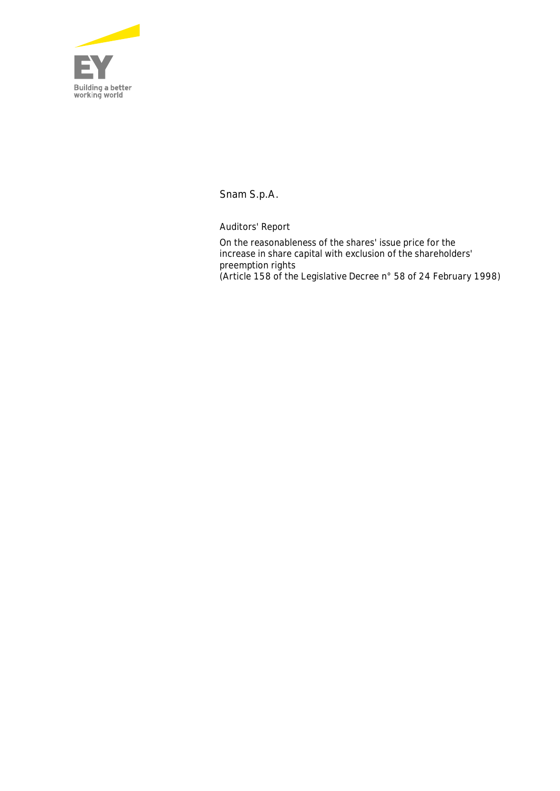

**Snam S.p.A.**

Auditors' Report

On the reasonableness of the shares' issue price for the increase in share capital with exclusion of the shareholders' preemption rights (Article 158 of the Legislative Decree n° 58 of 24 February 1998)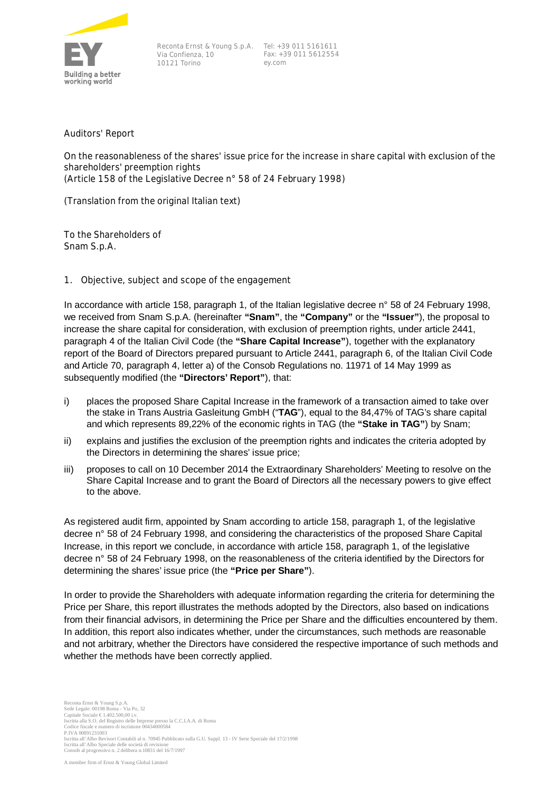

Reconta Ernst & Young S.p.A. Tel: +39 011 5161611 Via Confienza, 10 10121 Torino

Fax: +39 011 5612554 ey.com

Auditors' Report

On the reasonableness of the shares' issue price for the increase in share capital with exclusion of the shareholders' preemption rights (Article 158 of the Legislative Decree n° 58 of 24 February 1998)

(Translation from the original Italian text)

To the Shareholders of Snam S.p.A.

**1. Objective, subject and scope of the engagement**

In accordance with article 158, paragraph 1, of the Italian legislative decree n° 58 of 24 February 1998, we received from Snam S.p.A. (hereinafter **"Snam"**, the **"Company"** or the **"Issuer"**), the proposal to increase the share capital for consideration, with exclusion of preemption rights, under article 2441, paragraph 4 of the Italian Civil Code (the **"Share Capital Increase"**), together with the explanatory report of the Board of Directors prepared pursuant to Article 2441, paragraph 6, of the Italian Civil Code and Article 70, paragraph 4, letter a) of the Consob Regulations no. 11971 of 14 May 1999 as subsequently modified (the **"Directors' Report"**), that:

- i) places the proposed Share Capital Increase in the framework of a transaction aimed to take over the stake in Trans Austria Gasleitung GmbH ("**TAG**"), equal to the 84,47% of TAG's share capital and which represents 89,22% of the economic rights in TAG (the **"Stake in TAG"**) by Snam;
- ii) explains and justifies the exclusion of the preemption rights and indicates the criteria adopted by the Directors in determining the shares' issue price;
- iii) proposes to call on 10 December 2014 the Extraordinary Shareholders' Meeting to resolve on the Share Capital Increase and to grant the Board of Directors all the necessary powers to give effect to the above.

As registered audit firm, appointed by Snam according to article 158, paragraph 1, of the legislative decree n° 58 of 24 February 1998, and considering the characteristics of the proposed Share Capital Increase, in this report we conclude, in accordance with article 158, paragraph 1, of the legislative decree n° 58 of 24 February 1998, on the reasonableness of the criteria identified by the Directors for determining the shares' issue price (the **"Price per Share"**).

In order to provide the Shareholders with adequate information regarding the criteria for determining the Price per Share, this report illustrates the methods adopted by the Directors, also based on indications from their financial advisors, in determining the Price per Share and the difficulties encountered by them. In addition, this report also indicates whether, under the circumstances, such methods are reasonable and not arbitrary, whether the Directors have considered the respective importance of such methods and whether the methods have been correctly applied.

Reconta Ernst & Young S.p.A. Sede Legale: 00198 Roma - Via Po, 32 Capitale Sociale € 1.402.500,00 i.v. Iscritta alla S.O. del Registro delle Imprese presso la C.C.I.A.A. di Roma Codice fiscale e numero di iscrizione 00434000584 P.IVA 00891231003 Iscritta all'Albo Revisori Contabili al n. 70945 Pubblicato sulla G.U. Suppl. 13 - IV Serie Speciale del 17/2/1998 Iscritta all'Albo Speciale delle società di revisione Consob al progressivo n. 2 delibera n.10831 del 16/7/1997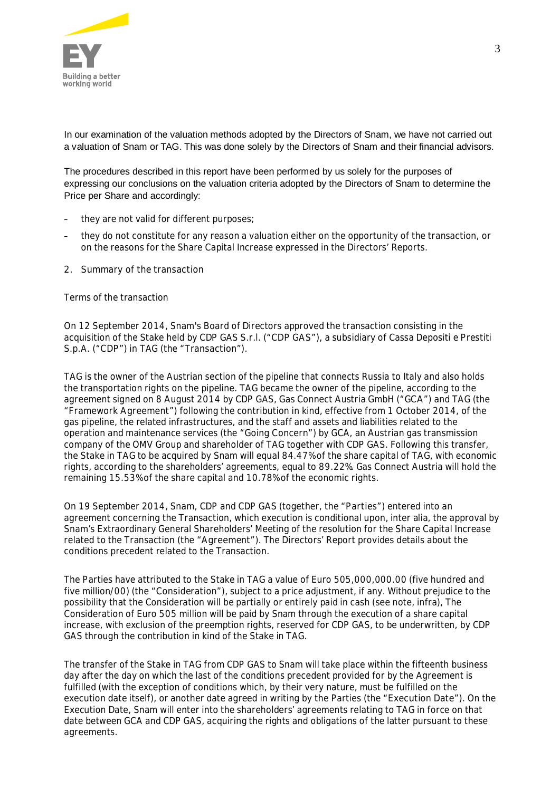

In our examination of the valuation methods adopted by the Directors of Snam, we have not carried out a valuation of Snam or TAG. This was done solely by the Directors of Snam and their financial advisors.

The procedures described in this report have been performed by us solely for the purposes of expressing our conclusions on the valuation criteria adopted by the Directors of Snam to determine the Price per Share and accordingly:

- they are not valid for different purposes;
- they do not constitute for any reason a valuation either on the opportunity of the transaction, or on the reasons for the Share Capital Increase expressed in the Directors' Reports.
- **2. Summary of the transaction**

#### *Terms of the transaction*

On 12 September 2014, Snam's Board of Directors approved the transaction consisting in the acquisition of the Stake held by CDP GAS S.r.l. (**"CDP GAS"**), a subsidiary of Cassa Depositi e Prestiti S.p.A. (**"CDP"**) in TAG (the **"Transaction"**).

TAG is the owner of the Austrian section of the pipeline that connects Russia to Italy and also holds the transportation rights on the pipeline. TAG became the owner of the pipeline, according to the agreement signed on 8 August 2014 by CDP GAS, Gas Connect Austria GmbH (**"GCA"**) and TAG (the **"Framework Agreement"**) following the contribution in kind, effective from 1 October 2014, of the gas pipeline, the related infrastructures, and the staff and assets and liabilities related to the operation and maintenance services (the **"Going Concern"**) by GCA, an Austrian gas transmission company of the OMV Group and shareholder of TAG together with CDP GAS. Following this transfer, the Stake in TAG to be acquired by Snam will equal 84.47% of the share capital of TAG, with economic rights, according to the shareholders' agreements, equal to 89.22%. Gas Connect Austria will hold the remaining 15.53% of the share capital and 10.78% of the economic rights.

On 19 September 2014, Snam, CDP and CDP GAS (together, the **"Parties"**) entered into an agreement concerning the Transaction, which execution is conditional upon, *inter alia*, the approval by Snam's Extraordinary General Shareholders' Meeting of the resolution for the Share Capital Increase related to the Transaction (the **"Agreement"**). The Directors' Report provides details about the conditions precedent related to the Transaction.

The Parties have attributed to the Stake in TAG a value of Euro 505,000,000.00 (five hundred and five million/00) (the **"Consideration"**), subject to a price adjustment, if any. Without prejudice to the possibility that the Consideration will be partially or entirely paid in cash (see note, *infra*), The Consideration of Euro 505 million will be paid by Snam through the execution of a share capital increase, with exclusion of the preemption rights, reserved for CDP GAS, to be underwritten, by CDP GAS through the contribution in kind of the Stake in TAG.

The transfer of the Stake in TAG from CDP GAS to Snam will take place within the fifteenth business day after the day on which the last of the conditions precedent provided for by the Agreement is fulfilled (with the exception of conditions which, by their very nature, must be fulfilled on the execution date itself), or another date agreed in writing by the Parties (the **"Execution Date"**). On the Execution Date, Snam will enter into the shareholders' agreements relating to TAG in force on that date between GCA and CDP GAS, acquiring the rights and obligations of the latter pursuant to these agreements.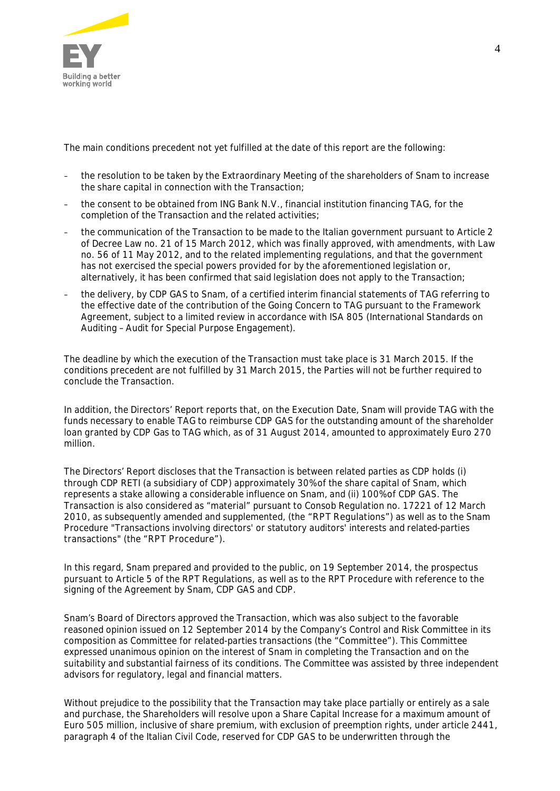

The main conditions precedent not yet fulfilled at the date of this report are the following:

- the resolution to be taken by the Extraordinary Meeting of the shareholders of Snam to increase the share capital in connection with the Transaction;
- the consent to be obtained from ING Bank N.V., financial institution financing TAG, for the completion of the Transaction and the related activities;
- the communication of the Transaction to be made to the Italian government pursuant to Article 2 of Decree Law no. 21 of 15 March 2012, which was finally approved, with amendments, with Law no. 56 of 11 May 2012, and to the related implementing regulations, and that the government has not exercised the special powers provided for by the aforementioned legislation or, alternatively, it has been confirmed that said legislation does not apply to the Transaction;
- the delivery, by CDP GAS to Snam, of a certified interim financial statements of TAG referring to the effective date of the contribution of the Going Concern to TAG pursuant to the Framework Agreement, subject to a limited review in accordance with ISA 805 (International Standards on Auditing – Audit for Special Purpose Engagement).

The deadline by which the execution of the Transaction must take place is 31 March 2015. If the conditions precedent are not fulfilled by 31 March 2015, the Parties will not be further required to conclude the Transaction.

In addition, the Directors' Report reports that, on the Execution Date, Snam will provide TAG with the funds necessary to enable TAG to reimburse CDP GAS for the outstanding amount of the shareholder loan granted by CDP Gas to TAG which, as of 31 August 2014, amounted to approximately Euro 270 million.

The Directors' Report discloses that the Transaction is between related parties as CDP holds (i) through CDP RETI (a subsidiary of CDP) approximately 30% of the share capital of Snam, which represents a stake allowing a considerable influence on Snam, and (ii) 100% of CDP GAS. The Transaction is also considered as "material" pursuant to Consob Regulation no. 17221 of 12 March 2010, as subsequently amended and supplemented, (the **"RPT Regulations"**) as well as to the Snam Procedure "Transactions involving directors' or statutory auditors' interests and related-parties transactions" (the **"RPT Procedure"**).

In this regard, Snam prepared and provided to the public, on 19 September 2014, the prospectus pursuant to Article 5 of the RPT Regulations, as well as to the RPT Procedure with reference to the signing of the Agreement by Snam, CDP GAS and CDP.

Snam's Board of Directors approved the Transaction, which was also subject to the favorable reasoned opinion issued on 12 September 2014 by the Company's Control and Risk Committee in its composition as Committee for related-parties transactions (the **"Committee"**). This Committee expressed unanimous opinion on the interest of Snam in completing the Transaction and on the suitability and substantial fairness of its conditions. The Committee was assisted by three independent advisors for regulatory, legal and financial matters.

Without prejudice to the possibility that the Transaction may take place partially or entirely as a sale and purchase, the Shareholders will resolve upon a Share Capital Increase for a maximum amount of Euro 505 million, inclusive of share premium, with exclusion of preemption rights, under article 2441, paragraph 4 of the Italian Civil Code, reserved for CDP GAS to be underwritten through the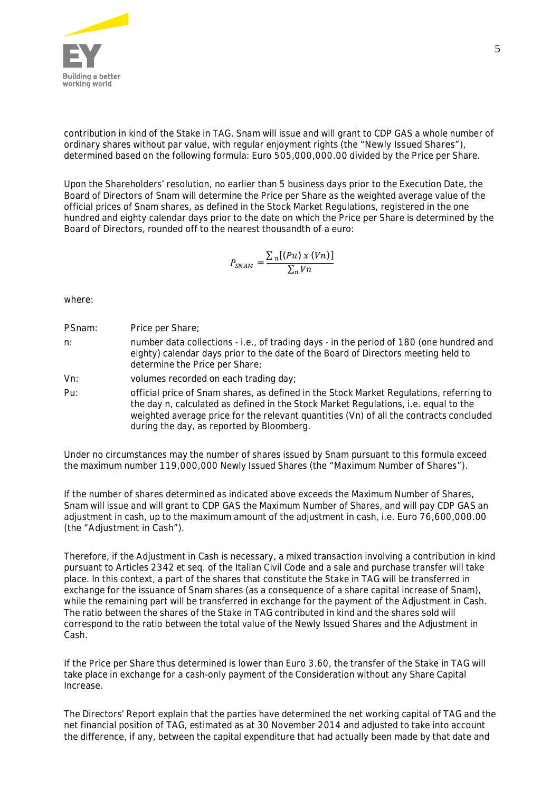

contribution in kind of the Stake in TAG. Snam will issue and will grant to CDP GAS a whole number of ordinary shares without par value, with regular enjoyment rights (the **"Newly Issued Shares"**), determined based on the following formula: Euro 505,000,000.00 divided by the Price per Share.

Upon the Shareholders' resolution, no earlier than 5 business days prior to the Execution Date, the Board of Directors of Snam will determine the Price per Share as the weighted average value of the official prices of Snam shares, as defined in the Stock Market Regulations, registered in the one hundred and eighty calendar days prior to the date on which the Price per Share is determined by the Board of Directors, rounded off to the nearest thousandth of a euro:

$$
P_{S N A M} = \frac{\sum_{n} [(\mathbf{P} u) \times (\mathbf{V} n)]}{\sum_{n} V n}
$$

where:

- **PSnam:** Price per Share;
- **n:** number data collections i.e., of trading days in the period of 180 (one hundred and eighty) calendar days prior to the date of the Board of Directors meeting held to determine the Price per Share;
- Vn: volumes recorded on each trading day;
- Pu: official price of Snam shares, as defined in the Stock Market Regulations, referring to the day n, calculated as defined in the Stock Market Regulations, i.e. equal to the weighted average price for the relevant quantities (Vn) of all the contracts concluded during the day, as reported by Bloomberg.

Under no circumstances may the number of shares issued by Snam pursuant to this formula exceed the maximum number 119,000,000 Newly Issued Shares (the **"Maximum Number of Shares"**).

If the number of shares determined as indicated above exceeds the Maximum Number of Shares, Snam will issue and will grant to CDP GAS the Maximum Number of Shares, and will pay CDP GAS an adjustment in cash, up to the maximum amount of the adjustment in cash, i.e. Euro 76,600,000.00 (the **"Adjustment in Cash"**).

Therefore, if the Adjustment in Cash is necessary, a mixed transaction involving a contribution in kind pursuant to Articles 2342 et seq. of the Italian Civil Code and a sale and purchase transfer will take place. In this context, a part of the shares that constitute the Stake in TAG will be transferred in exchange for the issuance of Snam shares (as a consequence of a share capital increase of Snam), while the remaining part will be transferred in exchange for the payment of the Adjustment in Cash. The ratio between the shares of the Stake in TAG contributed in kind and the shares sold will correspond to the ratio between the total value of the Newly Issued Shares and the Adjustment in Cash.

If the Price per Share thus determined is lower than Euro 3.60, the transfer of the Stake in TAG will take place in exchange for a cash-only payment of the Consideration without any Share Capital Increase.

The Directors' Report explain that the parties have determined the net working capital of TAG and the net financial position of TAG, estimated as at 30 November 2014 and adjusted to take into account the difference, if any, between the capital expenditure that had actually been made by that date and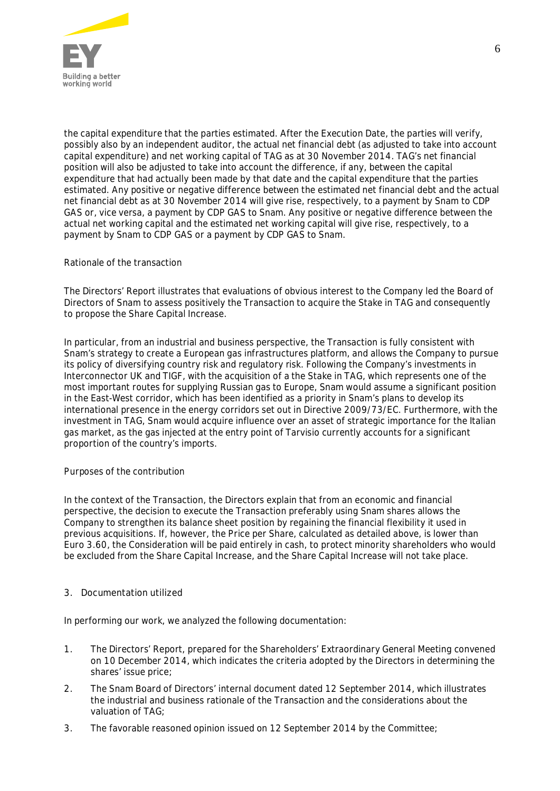

the capital expenditure that the parties estimated. After the Execution Date, the parties will verify, possibly also by an independent auditor, the actual net financial debt (as adjusted to take into account capital expenditure) and net working capital of TAG as at 30 November 2014. TAG's net financial position will also be adjusted to take into account the difference, if any, between the capital expenditure that had actually been made by that date and the capital expenditure that the parties estimated. Any positive or negative difference between the estimated net financial debt and the actual net financial debt as at 30 November 2014 will give rise, respectively, to a payment by Snam to CDP GAS or, vice versa, a payment by CDP GAS to Snam. Any positive or negative difference between the actual net working capital and the estimated net working capital will give rise, respectively, to a payment by Snam to CDP GAS or a payment by CDP GAS to Snam.

# *Rationale of the transaction*

The Directors' Report illustrates that evaluations of obvious interest to the Company led the Board of Directors of Snam to assess positively the Transaction to acquire the Stake in TAG and consequently to propose the Share Capital Increase.

In particular, from an industrial and business perspective, the Transaction is fully consistent with Snam's strategy to create a European gas infrastructures platform, and allows the Company to pursue its policy of diversifying country risk and regulatory risk. Following the Company's investments in Interconnector UK and TIGF, with the acquisition of a the Stake in TAG, which represents one of the most important routes for supplying Russian gas to Europe, Snam would assume a significant position in the East-West corridor, which has been identified as a priority in Snam's plans to develop its international presence in the energy corridors set out in Directive 2009/73/EC. Furthermore, with the investment in TAG, Snam would acquire influence over an asset of strategic importance for the Italian gas market, as the gas injected at the entry point of Tarvisio currently accounts for a significant proportion of the country's imports.

# *Purposes of the contribution*

In the context of the Transaction, the Directors explain that from an economic and financial perspective, the decision to execute the Transaction preferably using Snam shares allows the Company to strengthen its balance sheet position by regaining the financial flexibility it used in previous acquisitions. If, however, the Price per Share, calculated as detailed above, is lower than Euro 3.60, the Consideration will be paid entirely in cash, to protect minority shareholders who would be excluded from the Share Capital Increase, and the Share Capital Increase will not take place.

**3. Documentation utilized**

In performing our work, we analyzed the following documentation:

- 1. The Directors' Report, prepared for the Shareholders' Extraordinary General Meeting convened on 10 December 2014, which indicates the criteria adopted by the Directors in determining the shares' issue price;
- 2. The Snam Board of Directors' internal document dated 12 September 2014, which illustrates the industrial and business rationale of the Transaction and the considerations about the valuation of TAG;
- 3. The favorable reasoned opinion issued on 12 September 2014 by the Committee;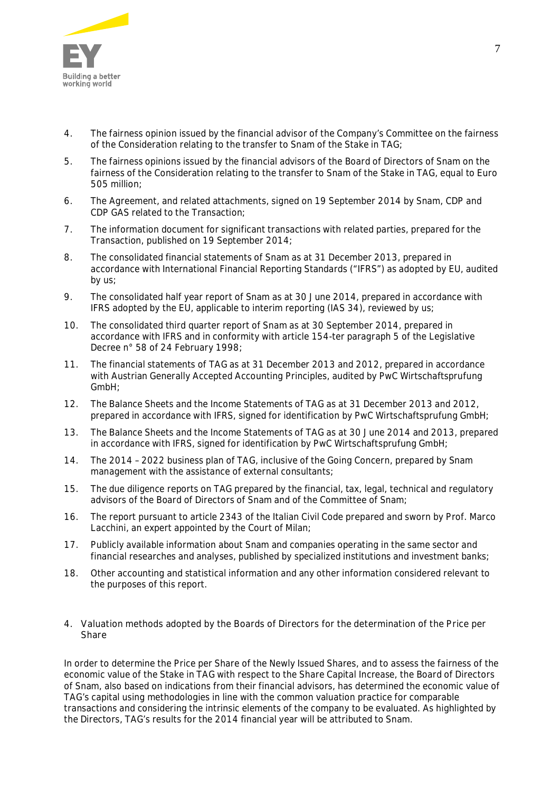

- 4. The fairness opinion issued by the financial advisor of the Company's Committee on the fairness of the Consideration relating to the transfer to Snam of the Stake in TAG;
- 5. The *fairness opinions* issued by the financial *advisors* of the Board of Directors of Snam on the fairness of the Consideration relating to the transfer to Snam of the Stake in TAG, equal to Euro 505 million;
- 6. The Agreement, and related attachments, signed on 19 September 2014 by Snam, CDP and CDP GAS related to the Transaction;
- 7. The information document for significant transactions with related parties, prepared for the Transaction, published on 19 September 2014;
- 8. The consolidated financial statements of Snam as at 31 December 2013, prepared in accordance with International Financial Reporting Standards ("IFRS") as adopted by EU, audited by us;
- 9. The consolidated half year report of Snam as at 30 June 2014, prepared in accordance with IFRS adopted by the EU, applicable to interim reporting (IAS 34), reviewed by us;
- 10. The consolidated third quarter report of Snam as at 30 September 2014, prepared in accordance with IFRS and in conformity with article 154-ter paragraph 5 of the Legislative Decree n° 58 of 24 February 1998;
- 11. The financial statements of TAG as at 31 December 2013 and 2012, prepared in accordance with Austrian Generally Accepted Accounting Principles, audited by PwC Wirtschaftsprufung GmbH;
- 12. The *Balance Sheets* and the *Income Statements* of TAG as at 31 December 2013 and 2012, prepared in accordance with IFRS, signed for identification by PwC Wirtschaftsprufung GmbH;
- 13. The *Balance Sheets* and the *Income Statements* of TAG as at 30 June 2014 and 2013, prepared in accordance with IFRS, signed for identification by PwC Wirtschaftsprufung GmbH;
- 14. The 2014 2022 *business plan* of TAG, inclusive of the Going Concern, prepared by Snam management with the assistance of external consultants;
- 15. The *due diligence* reports on TAG prepared by the financial, tax, legal, technical and regulatory advisors of the Board of Directors of Snam and of the Committee of Snam;
- 16. The report pursuant to article 2343 of the Italian Civil Code prepared and sworn by Prof. Marco Lacchini, an expert appointed by the Court of Milan;
- 17. Publicly available information about Snam and companies operating in the same sector and financial researches and analyses, published by specialized institutions and investment banks;
- 18. Other accounting and statistical information and any other information considered relevant to the purposes of this report.
- **4. Valuation methods adopted by the Boards of Directors for the determination of the Price per Share**

In order to determine the Price per Share of the Newly Issued Shares, and to assess the fairness of the economic value of the Stake in TAG with respect to the Share Capital Increase, the Board of Directors of Snam, also based on indications from their financial advisors, has determined the economic value of TAG's capital using methodologies in line with the common valuation practice for comparable transactions and considering the intrinsic elements of the company to be evaluated. As highlighted by the Directors, TAG's results for the 2014 financial year will be attributed to Snam.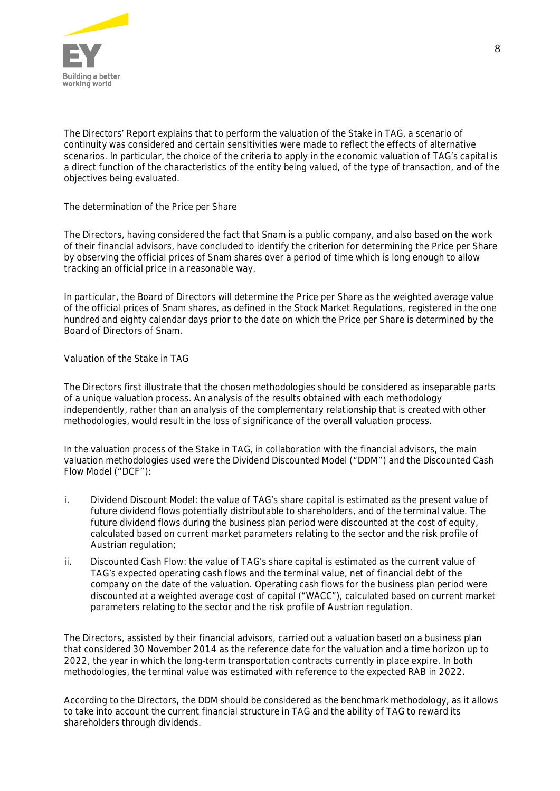

The Directors' Report explains that to perform the valuation of the Stake in TAG, a scenario of continuity was considered and certain sensitivities were made to reflect the effects of alternative scenarios. In particular, the choice of the criteria to apply in the economic valuation of TAG's capital is a direct function of the characteristics of the entity being valued, of the type of transaction, and of the objectives being evaluated.

# *The determination of the Price per Share*

The Directors, having considered the fact that Snam is a public company, and also based on the work of their financial advisors, have concluded to identify the criterion for determining the Price per Share by observing the official prices of Snam shares over a period of time which is long enough to allow tracking an official price in a reasonable way.

In particular, the Board of Directors will determine the Price per Share as the weighted average value of the official prices of Snam shares, as defined in the Stock Market Regulations, registered in the one hundred and eighty calendar days prior to the date on which the Price per Share is determined by the Board of Directors of Snam.

#### *Valuation of the Stake in TAG*

The Directors first illustrate that the chosen methodologies should be considered as inseparable parts of a unique valuation process. An analysis of the results obtained with each methodology independently, rather than an analysis of the complementary relationship that is created with other methodologies, would result in the loss of significance of the overall valuation process.

In the valuation process of the Stake in TAG, in collaboration with the financial advisors, the main valuation methodologies used were the Dividend Discounted Model (**"DDM"**) and the Discounted Cash Flow Model (**"DCF"**):

- i. Dividend Discount Model: the value of TAG's share capital is estimated as the present value of future dividend flows potentially distributable to shareholders, and of the terminal value. The future dividend flows during the business plan period were discounted at the cost of equity, calculated based on current market parameters relating to the sector and the risk profile of Austrian regulation;
- ii. Discounted Cash Flow: the value of TAG's share capital is estimated as the current value of TAG's expected operating cash flows and the terminal value, net of financial debt of the company on the date of the valuation. Operating cash flows for the business plan period were discounted at a weighted average cost of capital ("WACC"), calculated based on current market parameters relating to the sector and the risk profile of Austrian regulation.

The Directors, assisted by their financial advisors, carried out a valuation based on a business plan that considered 30 November 2014 as the reference date for the valuation and a time horizon up to 2022, the year in which the long-term transportation contracts currently in place expire. In both methodologies, the terminal value was estimated with reference to the expected RAB in 2022.

According to the Directors, the DDM should be considered as the benchmark methodology, as it allows to take into account the current financial structure in TAG and the ability of TAG to reward its shareholders through dividends.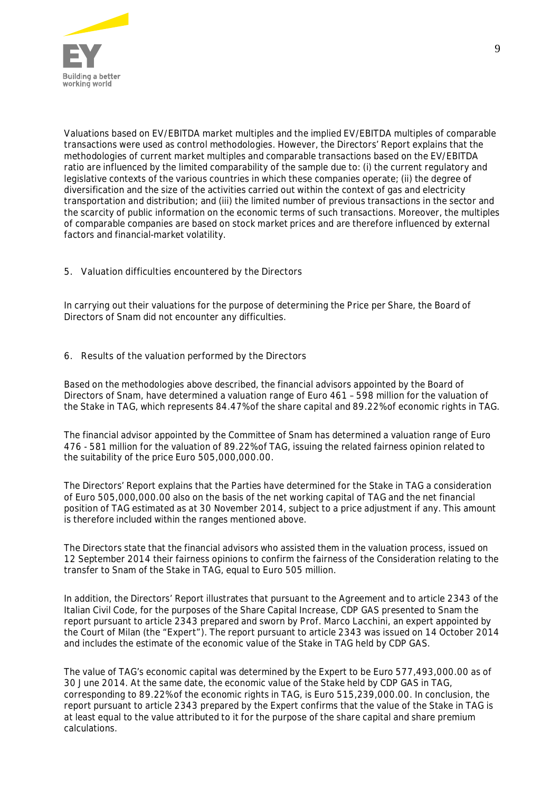

Valuations based on EV/EBITDA market multiples and the implied EV/EBITDA multiples of comparable transactions were used as control methodologies. However, the Directors' Report explains that the methodologies of current market multiples and comparable transactions based on the EV/EBITDA ratio are influenced by the limited comparability of the sample due to: (i) the current regulatory and legislative contexts of the various countries in which these companies operate; (ii) the degree of diversification and the size of the activities carried out within the context of gas and electricity transportation and distribution; and (iii) the limited number of previous transactions in the sector and the scarcity of public information on the economic terms of such transactions. Moreover, the multiples of comparable companies are based on stock market prices and are therefore influenced by external factors and financial-market volatility.

**5. Valuation difficulties encountered by the Directors**

In carrying out their valuations for the purpose of determining the Price per Share, the Board of Directors of Snam did not encounter any difficulties.

**6. Results of the valuation performed by the Directors**

Based on the methodologies above described, the financial advisors appointed by the Board of Directors of Snam, have determined a valuation range of Euro 461 – 598 million for the valuation of the Stake in TAG, which represents 84.47% of the share capital and 89.22% of economic rights in TAG.

The financial advisor appointed by the Committee of Snam has determined a valuation range of Euro 476 - 581 million for the valuation of 89.22% of TAG, issuing the related fairness opinion related to the suitability of the price Euro 505,000,000.00.

The Directors' Report explains that the Parties have determined for the Stake in TAG a consideration of Euro 505,000,000.00 also on the basis of the net working capital of TAG and the net financial position of TAG estimated as at 30 November 2014, subject to a price adjustment if any. This amount is therefore included within the ranges mentioned above.

The Directors state that the financial advisors who assisted them in the valuation process, issued on 12 September 2014 their fairness opinions to confirm the fairness of the Consideration relating to the transfer to Snam of the Stake in TAG, equal to Euro 505 million.

In addition, the Directors' Report illustrates that pursuant to the Agreement and to article 2343 of the Italian Civil Code, for the purposes of the Share Capital Increase, CDP GAS presented to Snam the report pursuant to article 2343 prepared and sworn by Prof. Marco Lacchini, an expert appointed by the Court of Milan (the **"Expert"**). The report pursuant to article 2343 was issued on 14 October 2014 and includes the estimate of the economic value of the Stake in TAG held by CDP GAS.

The value of TAG's economic capital was determined by the Expert to be Euro 577,493,000.00 as of 30 June 2014. At the same date, the economic value of the Stake held by CDP GAS in TAG, corresponding to 89.22% of the economic rights in TAG, is Euro 515,239,000.00. In conclusion, the report pursuant to article 2343 prepared by the Expert confirms that the value of the Stake in TAG is at least equal to the value attributed to it for the purpose of the share capital and share premium calculations.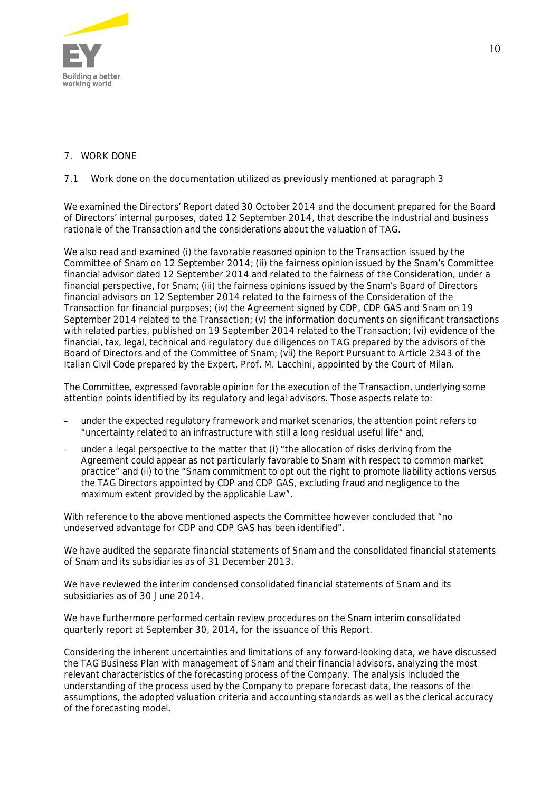

# **7. WORK DONE**

# *7.1 Work done on the documentation utilized as previously mentioned at paragraph 3*

We examined the Directors' Report dated 30 October 2014 and the document prepared for the Board of Directors' internal purposes, dated 12 September 2014, that describe the industrial and business rationale of the Transaction and the considerations about the valuation of TAG.

We also read and examined (i) the favorable reasoned opinion to the Transaction issued by the Committee of Snam on 12 September 2014; (ii) the fairness opinion issued by the Snam's Committee financial advisor dated 12 September 2014 and related to the fairness of the Consideration, under a financial perspective, for Snam; (iii) the fairness opinions issued by the Snam's Board of Directors financial advisors on 12 September 2014 related to the fairness of the Consideration of the Transaction for financial purposes; (iv) the Agreement signed by CDP, CDP GAS and Snam on 19 September 2014 related to the Transaction; (v) the information documents on significant transactions with related parties, published on 19 September 2014 related to the Transaction; (vi) evidence of the financial, tax, legal, technical and regulatory due diligences on TAG prepared by the advisors of the Board of Directors and of the Committee of Snam; (vii) the Report Pursuant to Article 2343 of the Italian Civil Code prepared by the Expert, Prof. M. Lacchini, appointed by the Court of Milan.

The Committee, expressed favorable opinion for the execution of the Transaction, underlying some attention points identified by its regulatory and legal advisors. Those aspects relate to:

- under the expected regulatory framework and market scenarios, the attention point refers to "uncertainty related to an infrastructure with still a long residual useful life" and,
- under a legal perspective to the matter that (i) "the allocation of risks deriving from the Agreement could appear as not particularly favorable to Snam with respect to common market practice" and (ii) to the "Snam commitment to opt out the right to promote liability actions versus the TAG Directors appointed by CDP and CDP GAS, excluding fraud and negligence to the maximum extent provided by the applicable Law".

With reference to the above mentioned aspects the Committee however concluded that "no undeserved advantage for CDP and CDP GAS has been identified".

We have audited the separate financial statements of Snam and the consolidated financial statements of Snam and its subsidiaries as of 31 December 2013.

We have reviewed the interim condensed consolidated financial statements of Snam and its subsidiaries as of 30 June 2014.

We have furthermore performed certain review procedures on the Snam interim consolidated quarterly report at September 30, 2014, for the issuance of this Report.

Considering the inherent uncertainties and limitations of any forward-looking data, we have discussed the TAG Business Plan with management of Snam and their financial advisors, analyzing the most relevant characteristics of the forecasting process of the Company. The analysis included the understanding of the process used by the Company to prepare forecast data, the reasons of the assumptions, the adopted valuation criteria and accounting standards as well as the clerical accuracy of the forecasting model.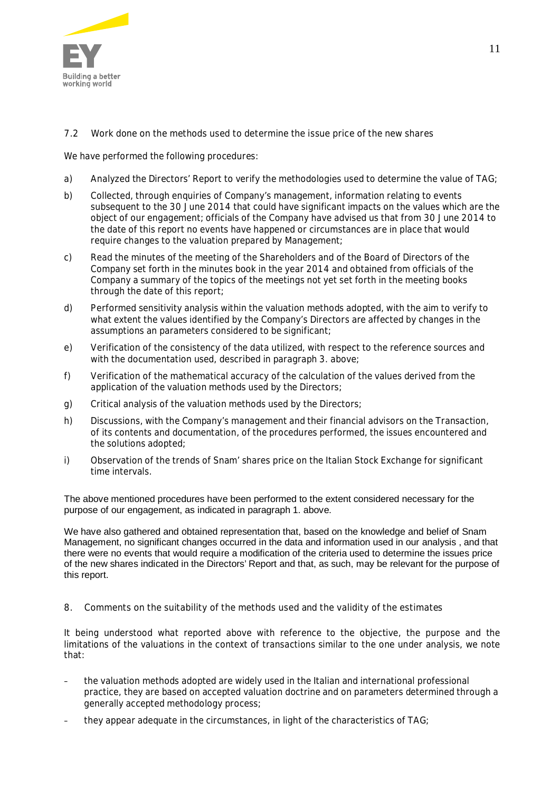

# *7.2 Work done on the methods used to determine the issue price of the new shares*

We have performed the following procedures:

- a) Analyzed the Directors' Report to verify the methodologies used to determine the value of TAG;
- b) Collected, through enquiries of Company's management, information relating to events subsequent to the 30 June 2014 that could have significant impacts on the values which are the object of our engagement; officials of the Company have advised us that from 30 June 2014 to the date of this report no events have happened or circumstances are in place that would require changes to the valuation prepared by Management;
- c) Read the minutes of the meeting of the Shareholders and of the Board of Directors of the Company set forth in the minutes book in the year 2014 and obtained from officials of the Company a summary of the topics of the meetings not yet set forth in the meeting books through the date of this report;
- d) Performed sensitivity analysis within the valuation methods adopted, with the aim to verify to what extent the values identified by the Company's Directors are affected by changes in the assumptions an parameters considered to be significant;
- e) Verification of the consistency of the data utilized, with respect to the reference sources and with the documentation used, described in paragraph 3. above;
- f) Verification of the mathematical accuracy of the calculation of the values derived from the application of the valuation methods used by the Directors;
- g) Critical analysis of the valuation methods used by the Directors;
- h) Discussions, with the Company's management and their financial advisors on the Transaction, of its contents and documentation, of the procedures performed, the issues encountered and the solutions adopted;
- i) Observation of the trends of Snam' shares price on the Italian Stock Exchange for significant time intervals.

The above mentioned procedures have been performed to the extent considered necessary for the purpose of our engagement, as indicated in paragraph 1. above.

We have also gathered and obtained representation that, based on the knowledge and belief of Snam Management, no significant changes occurred in the data and information used in our analysis , and that there were no events that would require a modification of the criteria used to determine the issues price of the new shares indicated in the Directors' Report and that, as such, may be relevant for the purpose of this report.

**8. Comments on the suitability of the methods used and the validity of the estimates**

It being understood what reported above with reference to the objective, the purpose and the limitations of the valuations in the context of transactions similar to the one under analysis, we note that:

- the valuation methods adopted are widely used in the Italian and international professional practice, they are based on accepted valuation doctrine and on parameters determined through a generally accepted methodology process;
- they appear adequate in the circumstances, in light of the characteristics of TAG;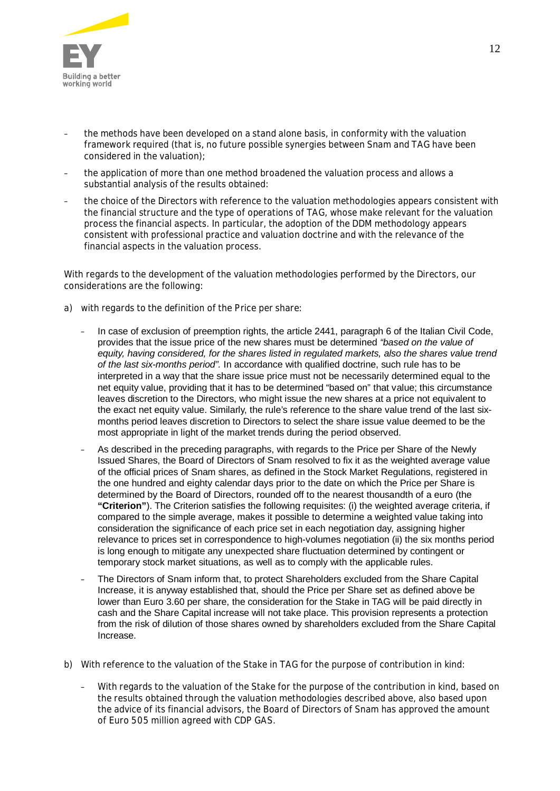

- the methods have been developed on a stand alone basis, in conformity with the valuation framework required (that is, no future possible synergies between Snam and TAG have been considered in the valuation);
- the application of more than one method broadened the valuation process and allows a substantial analysis of the results obtained:
- the choice of the Directors with reference to the valuation methodologies appears consistent with the financial structure and the type of operations of TAG, whose make relevant for the valuation process the financial aspects. In particular, the adoption of the DDM methodology appears consistent with professional practice and valuation doctrine and with the relevance of the financial aspects in the valuation process.

With regards to the development of the valuation methodologies performed by the Directors, our considerations are the following:

- a) with regards to the definition of the Price per share:
	- In case of exclusion of preemption rights, the article 2441, paragraph 6 of the Italian Civil Code, provides that the issue price of the new shares must be determined *"based on the value of equity, having considered, for the shares listed in regulated markets, also the shares value trend of the last six-months period".* In accordance with qualified doctrine, such rule has to be interpreted in a way that the share issue price must not be necessarily determined equal to the net equity value, providing that it has to be determined "based on" that value; this circumstance leaves discretion to the Directors, who might issue the new shares at a price not equivalent to the exact net equity value. Similarly, the rule's reference to the share value trend of the last sixmonths period leaves discretion to Directors to select the share issue value deemed to be the most appropriate in light of the market trends during the period observed.
	- As described in the preceding paragraphs, with regards to the Price per Share of the Newly Issued Shares, the Board of Directors of Snam resolved to fix it as the weighted average value of the official prices of Snam shares, as defined in the Stock Market Regulations, registered in the one hundred and eighty calendar days prior to the date on which the Price per Share is determined by the Board of Directors, rounded off to the nearest thousandth of a euro (the **"Criterion"**). The Criterion satisfies the following requisites: (i) the weighted average criteria, if compared to the simple average, makes it possible to determine a weighted value taking into consideration the significance of each price set in each negotiation day, assigning higher relevance to prices set in correspondence to high-volumes negotiation (ii) the six months period is long enough to mitigate any unexpected share fluctuation determined by contingent or temporary stock market situations, as well as to comply with the applicable rules.
	- The Directors of Snam inform that, to protect Shareholders excluded from the Share Capital Increase, it is anyway established that, should the Price per Share set as defined above be lower than Euro 3.60 per share, the consideration for the Stake in TAG will be paid directly in cash and the Share Capital increase will not take place. This provision represents a protection from the risk of dilution of those shares owned by shareholders excluded from the Share Capital Increase.
- b) With reference to the valuation of the Stake in TAG for the purpose of contribution in kind:
	- With regards to the valuation of the Stake for the purpose of the contribution in kind, based on the results obtained through the valuation methodologies described above, also based upon the advice of its financial advisors, the Board of Directors of Snam has approved the amount of Euro 505 million agreed with CDP GAS.